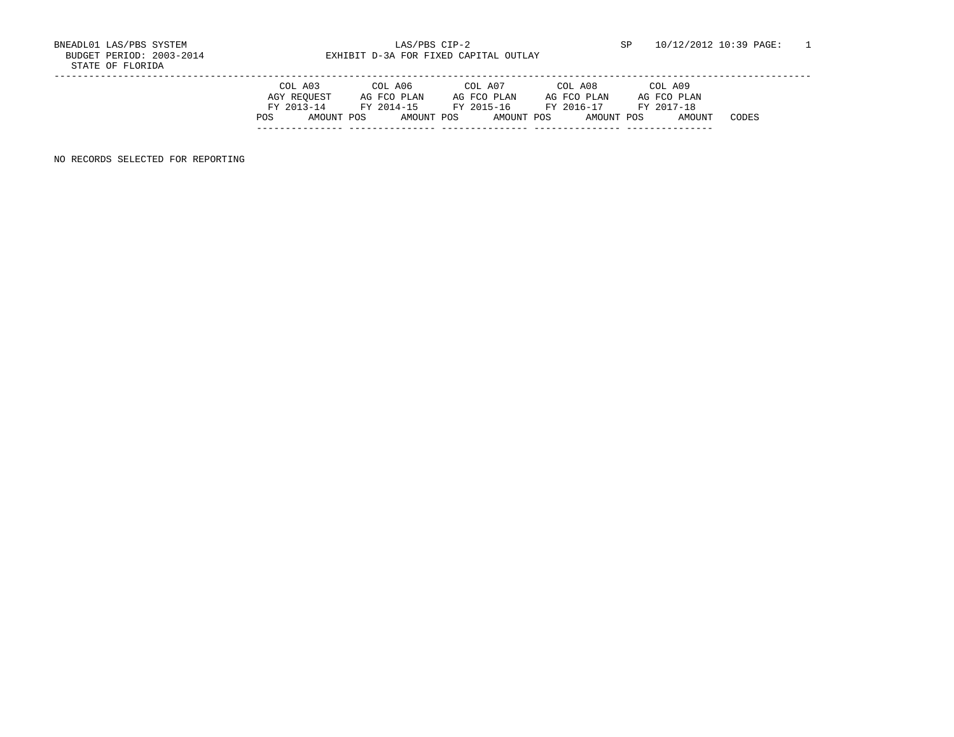BUDGET PERIOD: 2003-2014 **EXHIBIT D-3A FOR FIXED CAPITAL OUTLAY** 

| COL A03                   |            | COL A06                   | COL A07                   |            | COL A08                   | COL A09                   |                 |
|---------------------------|------------|---------------------------|---------------------------|------------|---------------------------|---------------------------|-----------------|
| AGY REOUEST<br>FY 2013-14 |            | AG FCO PLAN<br>FY 2014-15 | AG FCO PLAN<br>FY 2015-16 |            | AG FCO PLAN<br>FY 2016-17 | AG FCO PLAN<br>FY 2017-18 |                 |
| POS                       | AMOUNT POS | AMOUNT POS                |                           | AMOUNT POS | AMOUNT POS                |                           | CODES<br>AMOUNT |

NO RECORDS SELECTED FOR REPORTING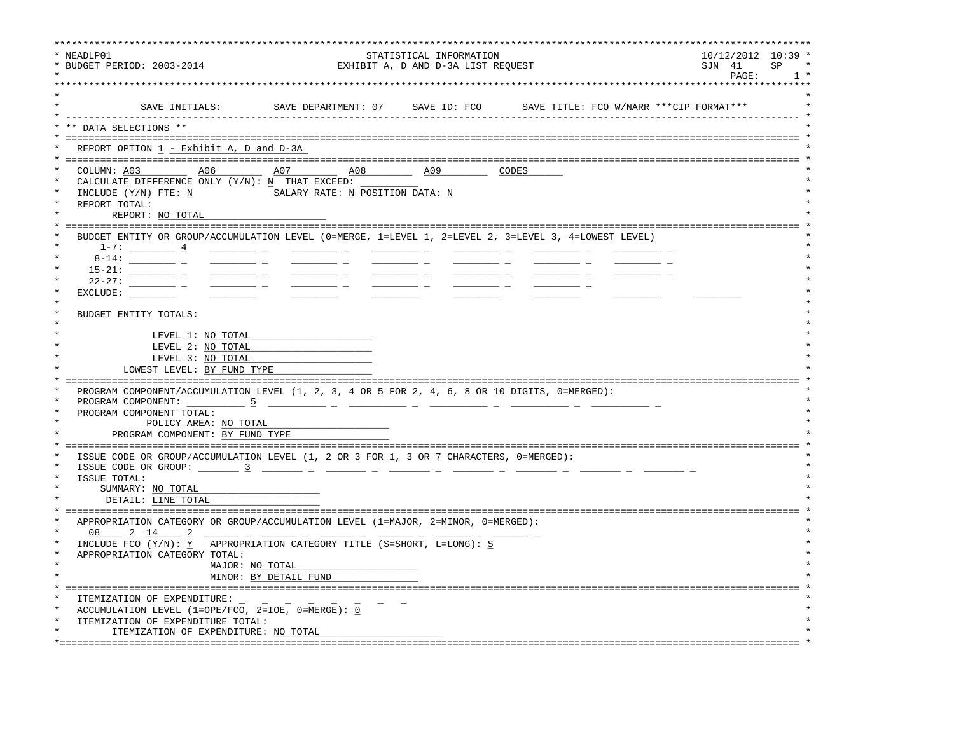| NEADLP01<br>BUDGET PERIOD: 2003-2014                                                                                                                                                                                                                                                                                                                                                                                                                                                         | STATISTICAL INFORMATION<br>EXHIBIT A, D AND D-3A LIST REQUEST |  |                                                                                          |  |  |  |  |  |
|----------------------------------------------------------------------------------------------------------------------------------------------------------------------------------------------------------------------------------------------------------------------------------------------------------------------------------------------------------------------------------------------------------------------------------------------------------------------------------------------|---------------------------------------------------------------|--|------------------------------------------------------------------------------------------|--|--|--|--|--|
|                                                                                                                                                                                                                                                                                                                                                                                                                                                                                              |                                                               |  | SAVE INITIALS: SAVE DEPARTMENT: 07 SAVE ID: FCO SAVE TITLE: FCO W/NARR *** CIP FORMAT*** |  |  |  |  |  |
| ** DATA SELECTIONS **                                                                                                                                                                                                                                                                                                                                                                                                                                                                        |                                                               |  |                                                                                          |  |  |  |  |  |
| REPORT OPTION 1 - Exhibit A, D and D-3A                                                                                                                                                                                                                                                                                                                                                                                                                                                      |                                                               |  |                                                                                          |  |  |  |  |  |
| COLUMN: A03 A06                                                                                                                                                                                                                                                                                                                                                                                                                                                                              |                                                               |  |                                                                                          |  |  |  |  |  |
| CALCULATE DIFFERENCE ONLY (Y/N): N THAT EXCEED:<br>INCLUDE (Y/N) FTE: N SALARY RATE: N POSITION DATA: N<br>REPORT TOTAL:<br>REPORT: NO TOTAL                                                                                                                                                                                                                                                                                                                                                 |                                                               |  |                                                                                          |  |  |  |  |  |
| BUDGET ENTITY OR GROUP/ACCUMULATION LEVEL (0=MERGE, 1=LEVEL 1, 2=LEVEL 2, 3=LEVEL 3, 4=LOWEST LEVEL)<br>$1-7:$ 4                                                                                                                                                                                                                                                                                                                                                                             |                                                               |  |                                                                                          |  |  |  |  |  |
| $\frac{1}{1-\frac{1}{1-\frac{1}{1-\frac{1}{1-\frac{1}{1-\frac{1}{1-\frac{1}{1-\frac{1}{1-\frac{1}{1-\frac{1}{1-\frac{1}{1-\frac{1}{1-\frac{1}{1-\frac{1}{1-\frac{1}{1-\frac{1}{1-\frac{1}{1-\frac{1}{1-\frac{1}{1-\frac{1}{1-\frac{1}{1-\frac{1}{1-\frac{1}{1-\frac{1}{1-\frac{1}{1-\frac{1}{1-\frac{1}{1-\frac{1}{1-\frac{1}{1-\frac{1}{1-\frac{1}{1-\frac{1}{1-\frac{1}{1-\frac{1}{1-\frac{1}{1-\frac{1}{1-\frac{1$<br>$\frac{1}{2}$ and $\frac{1}{2}$ and $\frac{1}{2}$ and $\frac{1}{2}$ |                                                               |  |                                                                                          |  |  |  |  |  |
| $\frac{1}{2}$ and $\frac{1}{2}$ and $\frac{1}{2}$ and $\frac{1}{2}$                                                                                                                                                                                                                                                                                                                                                                                                                          |                                                               |  |                                                                                          |  |  |  |  |  |
| $22 - 27:$<br>$\frac{1}{2}$ and $\frac{1}{2}$ and $\frac{1}{2}$ and $\frac{1}{2}$ and $\frac{1}{2}$ and $\frac{1}{2}$ and $\frac{1}{2}$ and $\frac{1}{2}$ and $\frac{1}{2}$ and $\frac{1}{2}$ and $\frac{1}{2}$ and $\frac{1}{2}$ and $\frac{1}{2}$ and $\frac{1}{2}$ and $\frac{1}{2}$ and $\frac{1}{2}$ a<br>EXCLUDE:                                                                                                                                                                      |                                                               |  |                                                                                          |  |  |  |  |  |
| BUDGET ENTITY TOTALS:                                                                                                                                                                                                                                                                                                                                                                                                                                                                        |                                                               |  |                                                                                          |  |  |  |  |  |
|                                                                                                                                                                                                                                                                                                                                                                                                                                                                                              |                                                               |  |                                                                                          |  |  |  |  |  |
| LEVEL 1: NO TOTAL<br>LEVEL 2: NO TOTAL                                                                                                                                                                                                                                                                                                                                                                                                                                                       |                                                               |  |                                                                                          |  |  |  |  |  |
| LEVEL 3: NO TOTAL                                                                                                                                                                                                                                                                                                                                                                                                                                                                            |                                                               |  |                                                                                          |  |  |  |  |  |
| LOWEST LEVEL: BY FUND TYPE                                                                                                                                                                                                                                                                                                                                                                                                                                                                   |                                                               |  |                                                                                          |  |  |  |  |  |
|                                                                                                                                                                                                                                                                                                                                                                                                                                                                                              |                                                               |  |                                                                                          |  |  |  |  |  |
| PROGRAM COMPONENT/ACCUMULATION LEVEL (1, 2, 3, 4 OR 5 FOR 2, 4, 6, 8 OR 10 DIGITS, 0=MERGED):<br>PROGRAM COMPONENT: 5                                                                                                                                                                                                                                                                                                                                                                        |                                                               |  |                                                                                          |  |  |  |  |  |
| PROGRAM COMPONENT TOTAL:                                                                                                                                                                                                                                                                                                                                                                                                                                                                     |                                                               |  |                                                                                          |  |  |  |  |  |
| POLICY AREA: NO TOTAL                                                                                                                                                                                                                                                                                                                                                                                                                                                                        |                                                               |  |                                                                                          |  |  |  |  |  |
| PROGRAM COMPONENT: BY FUND TYPE                                                                                                                                                                                                                                                                                                                                                                                                                                                              |                                                               |  |                                                                                          |  |  |  |  |  |
| ISSUE CODE OR GROUP/ACCUMULATION LEVEL (1, 2 OR 3 FOR 1, 3 OR 7 CHARACTERS, 0=MERGED):                                                                                                                                                                                                                                                                                                                                                                                                       |                                                               |  |                                                                                          |  |  |  |  |  |
| ISSUE CODE OR GROUP: $\frac{3}{2}$ $\frac{1}{2}$ $\frac{1}{2}$ $\frac{1}{2}$ $\frac{1}{2}$ $\frac{1}{2}$ $\frac{1}{2}$ $\frac{1}{2}$ $\frac{1}{2}$                                                                                                                                                                                                                                                                                                                                           |                                                               |  |                                                                                          |  |  |  |  |  |
| ISSUE TOTAL:                                                                                                                                                                                                                                                                                                                                                                                                                                                                                 |                                                               |  |                                                                                          |  |  |  |  |  |
| SUMMARY: NO TOTAL                                                                                                                                                                                                                                                                                                                                                                                                                                                                            |                                                               |  |                                                                                          |  |  |  |  |  |
| DETAIL: LINE TOTAL                                                                                                                                                                                                                                                                                                                                                                                                                                                                           |                                                               |  |                                                                                          |  |  |  |  |  |
| APPROPRIATION CATEGORY OR GROUP/ACCUMULATION LEVEL (1=MAJOR, 2=MINOR, 0=MERGED):                                                                                                                                                                                                                                                                                                                                                                                                             |                                                               |  | -------------------------------                                                          |  |  |  |  |  |
| 08 2 14                                                                                                                                                                                                                                                                                                                                                                                                                                                                                      |                                                               |  |                                                                                          |  |  |  |  |  |
| INCLUDE FCO (Y/N): Y APPROPRIATION CATEGORY TITLE (S=SHORT, L=LONG): S                                                                                                                                                                                                                                                                                                                                                                                                                       |                                                               |  |                                                                                          |  |  |  |  |  |
| APPROPRIATION CATEGORY TOTAL:                                                                                                                                                                                                                                                                                                                                                                                                                                                                |                                                               |  |                                                                                          |  |  |  |  |  |
| MAJOR: NO TOTAL                                                                                                                                                                                                                                                                                                                                                                                                                                                                              |                                                               |  |                                                                                          |  |  |  |  |  |
|                                                                                                                                                                                                                                                                                                                                                                                                                                                                                              | MINOR: BY DETAIL FUND                                         |  |                                                                                          |  |  |  |  |  |
| ITEMIZATION OF EXPENDITURE:                                                                                                                                                                                                                                                                                                                                                                                                                                                                  |                                                               |  |                                                                                          |  |  |  |  |  |
| ACCUMULATION LEVEL (1=OPE/FCO, 2=IOE, 0=MERGE): 0                                                                                                                                                                                                                                                                                                                                                                                                                                            |                                                               |  |                                                                                          |  |  |  |  |  |
| ITEMIZATION OF EXPENDITURE TOTAL:                                                                                                                                                                                                                                                                                                                                                                                                                                                            |                                                               |  |                                                                                          |  |  |  |  |  |
| ITEMIZATION OF EXPENDITURE: NO TOTAL                                                                                                                                                                                                                                                                                                                                                                                                                                                         |                                                               |  |                                                                                          |  |  |  |  |  |
|                                                                                                                                                                                                                                                                                                                                                                                                                                                                                              |                                                               |  |                                                                                          |  |  |  |  |  |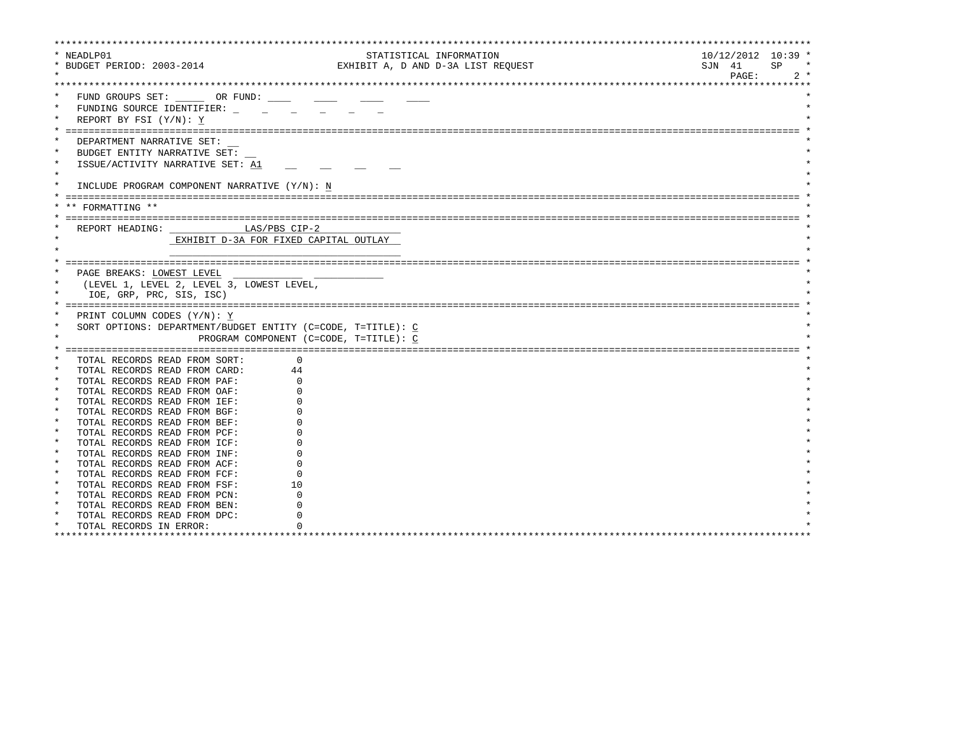|         | * NEADLP01                                                   | STATISTICAL INFORMATION                | $10/12/2012$ $10:39$ * |
|---------|--------------------------------------------------------------|----------------------------------------|------------------------|
|         | * BUDGET PERIOD: 2003-2014                                   | EXHIBIT A, D AND D-3A LIST REQUEST     | SJN 41<br>SP           |
|         |                                                              |                                        | PAGE:<br>$2 *$         |
|         |                                                              |                                        |                        |
|         | FUND GROUPS SET: OR FUND:                                    |                                        |                        |
| $\star$ | FUNDING SOURCE IDENTIFIER:                                   |                                        |                        |
|         | REPORT BY FSI (Y/N): Y                                       |                                        |                        |
|         |                                                              |                                        |                        |
|         | DEPARTMENT NARRATIVE SET:                                    |                                        |                        |
|         | BUDGET ENTITY NARRATIVE SET:                                 |                                        |                        |
| $\star$ | ISSUE/ACTIVITY NARRATIVE SET: A1                             |                                        |                        |
| $\star$ |                                                              |                                        |                        |
|         | INCLUDE PROGRAM COMPONENT NARRATIVE (Y/N): N                 |                                        |                        |
|         |                                                              |                                        |                        |
|         | FORMATTING **                                                |                                        |                        |
|         |                                                              |                                        |                        |
|         | REPORT HEADING: LAS/PBS CIP-2                                |                                        |                        |
|         | EXHIBIT D-3A FOR FIXED CAPITAL OUTLAY                        |                                        |                        |
|         |                                                              |                                        |                        |
|         |                                                              |                                        |                        |
|         | PAGE BREAKS: LOWEST LEVEL                                    |                                        |                        |
|         |                                                              |                                        |                        |
|         | (LEVEL 1, LEVEL 2, LEVEL 3, LOWEST LEVEL,                    |                                        |                        |
|         | IOE, GRP, PRC, SIS, ISC)                                     |                                        |                        |
|         | PRINT COLUMN CODES (Y/N): Y                                  |                                        |                        |
|         |                                                              |                                        |                        |
|         | SORT OPTIONS: DEPARTMENT/BUDGET ENTITY (C=CODE, T=TITLE): C  |                                        |                        |
|         |                                                              | PROGRAM COMPONENT (C=CODE, T=TITLE): C |                        |
|         |                                                              |                                        |                        |
|         | TOTAL RECORDS READ FROM SORT:                                | $\Omega$                               |                        |
|         | TOTAL RECORDS READ FROM CARD:<br>44                          |                                        |                        |
| $\star$ | TOTAL RECORDS READ FROM PAF:                                 |                                        |                        |
| $\star$ | TOTAL RECORDS READ FROM OAF:                                 |                                        |                        |
| $\star$ | TOTAL RECORDS READ FROM IEF:                                 |                                        |                        |
| $\star$ | TOTAL RECORDS READ FROM BGF:<br>TOTAL RECORDS READ FROM BEF: |                                        |                        |
|         | TOTAL RECORDS READ FROM PCF:                                 |                                        |                        |
|         | TOTAL RECORDS READ FROM ICF:                                 |                                        |                        |
| $\star$ | TOTAL RECORDS READ FROM INF:                                 |                                        |                        |
| $\star$ | TOTAL RECORDS READ FROM ACF:                                 |                                        |                        |
| $\star$ | TOTAL RECORDS READ FROM FCF:                                 |                                        |                        |
|         | TOTAL RECORDS READ FROM FSF:<br>10                           |                                        |                        |
|         | TOTAL RECORDS READ FROM PCN:                                 |                                        |                        |
| $\star$ | TOTAL RECORDS READ FROM BEN:                                 |                                        |                        |
| $\star$ | TOTAL RECORDS READ FROM DPC:                                 |                                        |                        |
|         | TOTAL RECORDS IN ERROR:                                      |                                        |                        |
|         |                                                              |                                        |                        |